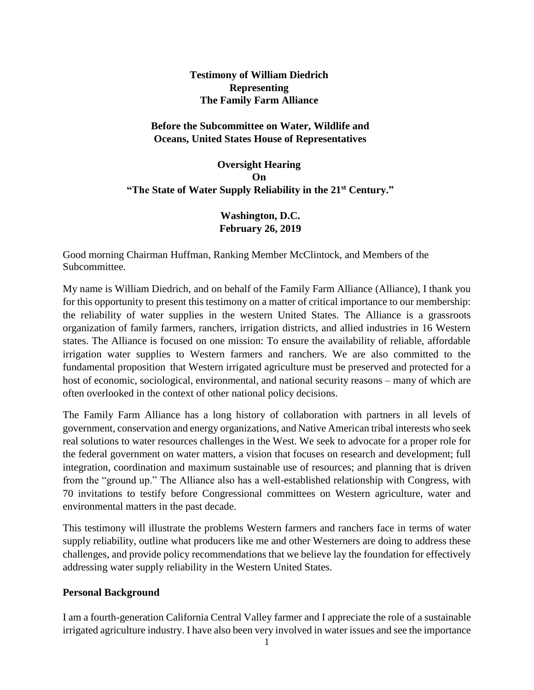## **Testimony of William Diedrich Representing The Family Farm Alliance**

## **Before the Subcommittee on Water, Wildlife and Oceans, United States House of Representatives**

# **Oversight Hearing On "The State of Water Supply Reliability in the 21st Century."**

## **Washington, D.C. February 26, 2019**

Good morning Chairman Huffman, Ranking Member McClintock, and Members of the Subcommittee.

My name is William Diedrich, and on behalf of the Family Farm Alliance (Alliance), I thank you for this opportunity to present this testimony on a matter of critical importance to our membership: the reliability of water supplies in the western United States. The Alliance is a grassroots organization of family farmers, ranchers, irrigation districts, and allied industries in 16 Western states. The Alliance is focused on one mission: To ensure the availability of reliable, affordable irrigation water supplies to Western farmers and ranchers. We are also committed to the fundamental proposition that Western irrigated agriculture must be preserved and protected for a host of economic, sociological, environmental, and national security reasons – many of which are often overlooked in the context of other national policy decisions.

The Family Farm Alliance has a long history of collaboration with partners in all levels of government, conservation and energy organizations, and Native American tribal interests who seek real solutions to water resources challenges in the West. We seek to advocate for a proper role for the federal government on water matters, a vision that focuses on research and development; full integration, coordination and maximum sustainable use of resources; and planning that is driven from the "ground up." The Alliance also has a well-established relationship with Congress, with 70 invitations to testify before Congressional committees on Western agriculture, water and environmental matters in the past decade.

This testimony will illustrate the problems Western farmers and ranchers face in terms of water supply reliability, outline what producers like me and other Westerners are doing to address these challenges, and provide policy recommendations that we believe lay the foundation for effectively addressing water supply reliability in the Western United States.

### **Personal Background**

I am a fourth-generation California Central Valley farmer and I appreciate the role of a sustainable irrigated agriculture industry. I have also been very involved in water issues and see the importance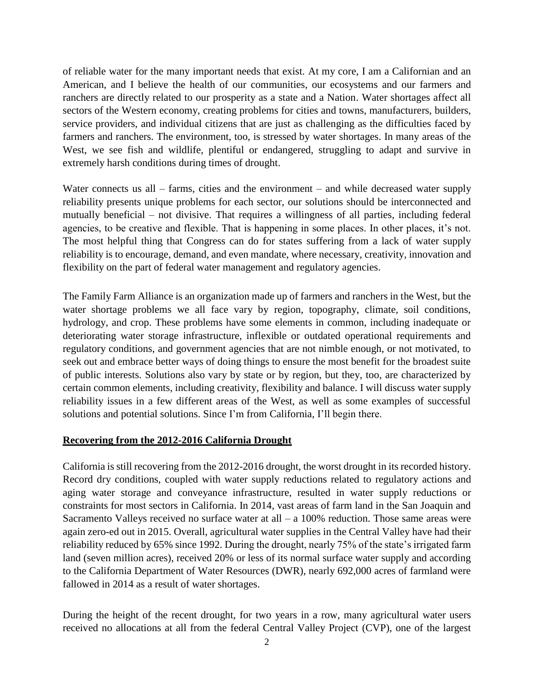of reliable water for the many important needs that exist. At my core, I am a Californian and an American, and I believe the health of our communities, our ecosystems and our farmers and ranchers are directly related to our prosperity as a state and a Nation. Water shortages affect all sectors of the Western economy, creating problems for cities and towns, manufacturers, builders, service providers, and individual citizens that are just as challenging as the difficulties faced by farmers and ranchers. The environment, too, is stressed by water shortages. In many areas of the West, we see fish and wildlife, plentiful or endangered, struggling to adapt and survive in extremely harsh conditions during times of drought.

Water connects us all – farms, cities and the environment – and while decreased water supply reliability presents unique problems for each sector, our solutions should be interconnected and mutually beneficial – not divisive. That requires a willingness of all parties, including federal agencies, to be creative and flexible. That is happening in some places. In other places, it's not. The most helpful thing that Congress can do for states suffering from a lack of water supply reliability is to encourage, demand, and even mandate, where necessary, creativity, innovation and flexibility on the part of federal water management and regulatory agencies.

The Family Farm Alliance is an organization made up of farmers and ranchers in the West, but the water shortage problems we all face vary by region, topography, climate, soil conditions, hydrology, and crop. These problems have some elements in common, including inadequate or deteriorating water storage infrastructure, inflexible or outdated operational requirements and regulatory conditions, and government agencies that are not nimble enough, or not motivated, to seek out and embrace better ways of doing things to ensure the most benefit for the broadest suite of public interests. Solutions also vary by state or by region, but they, too, are characterized by certain common elements, including creativity, flexibility and balance. I will discuss water supply reliability issues in a few different areas of the West, as well as some examples of successful solutions and potential solutions. Since I'm from California, I'll begin there.

#### **Recovering from the 2012-2016 California Drought**

California is still recovering from the 2012-2016 drought, the worst drought in its recorded history. Record dry conditions, coupled with water supply reductions related to regulatory actions and aging water storage and conveyance infrastructure, resulted in water supply reductions or constraints for most sectors in California. In 2014, vast areas of farm land in the San Joaquin and Sacramento Valleys received no surface water at all  $-$  a 100% reduction. Those same areas were again zero-ed out in 2015. Overall, agricultural water supplies in the Central Valley have had their reliability reduced by 65% since 1992. During the drought, nearly 75% of the state's irrigated farm land (seven million acres), received 20% or less of its normal surface water supply and according to the California Department of Water Resources (DWR), nearly 692,000 acres of farmland were fallowed in 2014 as a result of water shortages.

During the height of the recent drought, for two years in a row, many agricultural water users received no allocations at all from the federal Central Valley Project (CVP), one of the largest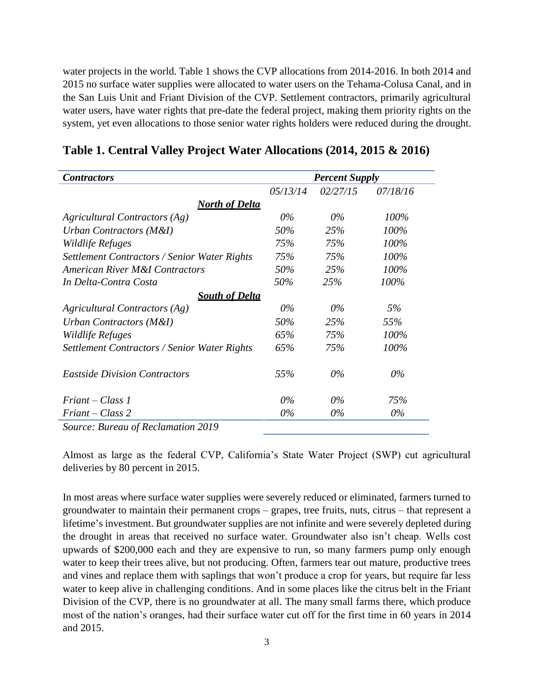water projects in the world. Table 1 shows the CVP allocations from 2014-2016. In both 2014 and 2015 no surface water supplies were allocated to water users on the Tehama-Colusa Canal, and in the San Luis Unit and Friant Division of the CVP. Settlement contractors, primarily agricultural water users, have water rights that pre-date the federal project, making them priority rights on the system, yet even allocations to those senior water rights holders were reduced during the drought.

| <b>Contractors</b>                           | <b>Percent Supply</b> |          |          |
|----------------------------------------------|-----------------------|----------|----------|
|                                              | 05/13/14              | 02/27/15 | 07/18/16 |
| <b>North of Delta</b>                        |                       |          |          |
| Agricultural Contractors (Ag)                | $0\%$                 | $0\%$    | 100%     |
| Urban Contractors (M&I)                      | 50%                   | 25%      | 100%     |
| Wildlife Refuges                             | 75%                   | 75%      | 100%     |
| Settlement Contractors / Senior Water Rights | 75%                   | 75%      | 100%     |
| <b>American River M&amp;I Contractors</b>    | 50%                   | 25%      | 100%     |
| In Delta-Contra Costa                        | 50%                   | 25%      | 100%     |
| <b>South of Delta</b>                        |                       |          |          |
| Agricultural Contractors (Ag)                | $0\%$                 | $0\%$    | 5%       |
| Urban Contractors (M&I)                      | 50%                   | 25%      | 55%      |
| Wildlife Refuges                             | 65%                   | 75%      | 100%     |
| Settlement Contractors / Senior Water Rights | 65%                   | 75%      | 100%     |
| <b>Eastside Division Contractors</b>         | 55%                   | $0\%$    | $0\%$    |
| $Final - Class 1$                            | $0\%$                 | $0\%$    | 75%      |
| $Final - Class 2$                            | $0\%$                 | 0%       | $0\%$    |
| Source: Bureau of Reclamation 2019           |                       |          |          |

# **Table 1. Central Valley Project Water Allocations (2014, 2015 & 2016)**

Almost as large as the federal CVP, California's State Water Project (SWP) cut agricultural deliveries by 80 percent in 2015.

In most areas where surface water supplies were severely reduced or eliminated, farmers turned to groundwater to maintain their permanent crops – grapes, tree fruits, nuts, citrus – that represent a lifetime's investment. But groundwater supplies are not infinite and were severely depleted during the drought in areas that received no surface water. Groundwater also isn't cheap. Wells cost upwards of \$200,000 each and they are expensive to run, so many farmers pump only enough water to keep their trees alive, but not producing. Often, farmers tear out mature, productive trees and vines and replace them with saplings that won't produce a crop for years, but require far less water to keep alive in challenging conditions. And in some places like the citrus belt in the Friant Division of the CVP, there is no groundwater at all. The many small farms there, which produce most of the nation's oranges, had their surface water cut off for the first time in 60 years in 2014 and 2015.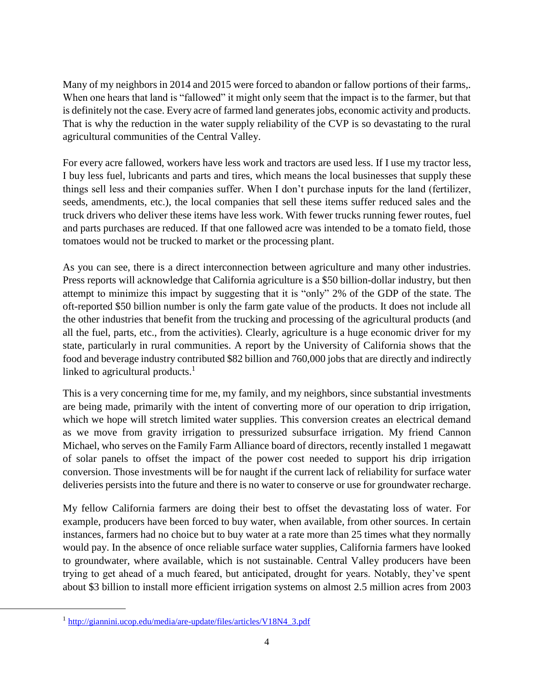Many of my neighbors in 2014 and 2015 were forced to abandon or fallow portions of their farms,. When one hears that land is "fallowed" it might only seem that the impact is to the farmer, but that is definitely not the case. Every acre of farmed land generates jobs, economic activity and products. That is why the reduction in the water supply reliability of the CVP is so devastating to the rural agricultural communities of the Central Valley.

For every acre fallowed, workers have less work and tractors are used less. If I use my tractor less, I buy less fuel, lubricants and parts and tires, which means the local businesses that supply these things sell less and their companies suffer. When I don't purchase inputs for the land (fertilizer, seeds, amendments, etc.), the local companies that sell these items suffer reduced sales and the truck drivers who deliver these items have less work. With fewer trucks running fewer routes, fuel and parts purchases are reduced. If that one fallowed acre was intended to be a tomato field, those tomatoes would not be trucked to market or the processing plant.

As you can see, there is a direct interconnection between agriculture and many other industries. Press reports will acknowledge that California agriculture is a \$50 billion-dollar industry, but then attempt to minimize this impact by suggesting that it is "only" 2% of the GDP of the state. The oft-reported \$50 billion number is only the farm gate value of the products. It does not include all the other industries that benefit from the trucking and processing of the agricultural products (and all the fuel, parts, etc., from the activities). Clearly, agriculture is a huge economic driver for my state, particularly in rural communities. A report by the University of California shows that the food and beverage industry contributed \$82 billion and 760,000 jobs that are directly and indirectly linked to agricultural products. $<sup>1</sup>$ </sup>

This is a very concerning time for me, my family, and my neighbors, since substantial investments are being made, primarily with the intent of converting more of our operation to drip irrigation, which we hope will stretch limited water supplies. This conversion creates an electrical demand as we move from gravity irrigation to pressurized subsurface irrigation. My friend Cannon Michael, who serves on the Family Farm Alliance board of directors, recently installed 1 megawatt of solar panels to offset the impact of the power cost needed to support his drip irrigation conversion. Those investments will be for naught if the current lack of reliability for surface water deliveries persists into the future and there is no water to conserve or use for groundwater recharge.

My fellow California farmers are doing their best to offset the devastating loss of water. For example, producers have been forced to buy water, when available, from other sources. In certain instances, farmers had no choice but to buy water at a rate more than 25 times what they normally would pay. In the absence of once reliable surface water supplies, California farmers have looked to groundwater, where available, which is not sustainable. Central Valley producers have been trying to get ahead of a much feared, but anticipated, drought for years. Notably, they've spent about \$3 billion to install more efficient irrigation systems on almost 2.5 million acres from 2003

 $\overline{\phantom{a}}$ 

<sup>&</sup>lt;sup>1</sup> [http://giannini.ucop.edu/media/are-update/files/articles/V18N4\\_3.pdf](http://giannini.ucop.edu/media/are-update/files/articles/V18N4_3.pdf)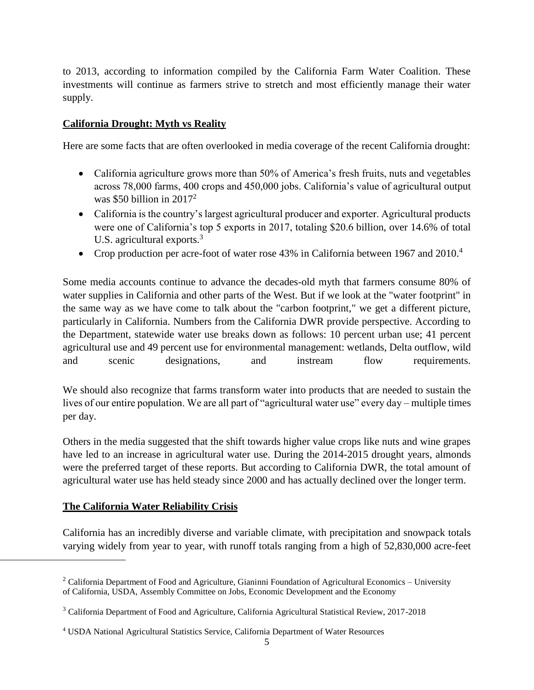to 2013, according to information compiled by the California Farm Water Coalition. These investments will continue as farmers strive to stretch and most efficiently manage their water supply.

#### **California Drought: Myth vs Reality**

Here are some facts that are often overlooked in media coverage of the recent California drought:

- California agriculture grows more than 50% of America's fresh fruits, nuts and vegetables across 78,000 farms, 400 crops and 450,000 jobs. California's value of agricultural output was \$50 billion in  $2017^2$
- California is the country's largest agricultural producer and exporter. Agricultural products were one of California's top 5 exports in 2017, totaling \$20.6 billion, over 14.6% of total U.S. agricultural exports.<sup>3</sup>
- Crop production per acre-foot of water rose 43% in California between 1967 and  $2010<sup>4</sup>$

Some media accounts continue to advance the decades-old myth that farmers consume 80% of water supplies in California and other parts of the West. But if we look at the "water footprint" in the same way as we have come to talk about the "carbon footprint," we get a different picture, particularly in California. Numbers from the California DWR provide perspective. According to the Department, statewide water use breaks down as follows: 10 percent urban use; 41 percent agricultural use and 49 percent use for environmental management: wetlands, Delta outflow, wild and scenic designations, and instream flow requirements.

We should also recognize that farms transform water into products that are needed to sustain the lives of our entire population. We are all part of "agricultural water use" every day – multiple times per day.

Others in the media suggested that the shift towards higher value crops like nuts and wine grapes have led to an increase in agricultural water use. During the 2014-2015 drought years, almonds were the preferred target of these reports. But according to California DWR, the total amount of agricultural water use has held steady since 2000 and has actually declined over the longer term.

### **The California Water Reliability Crisis**

l

California has an incredibly diverse and variable climate, with precipitation and snowpack totals varying widely from year to year, with runoff totals ranging from a high of 52,830,000 acre-feet

<sup>&</sup>lt;sup>2</sup> California Department of Food and Agriculture, Gianinni Foundation of Agricultural Economics – University of California, USDA, Assembly Committee on Jobs, Economic Development and the Economy

<sup>3</sup> California Department of Food and Agriculture, California Agricultural Statistical Review, 2017-2018

<sup>4</sup> USDA National Agricultural Statistics Service, California Department of Water Resources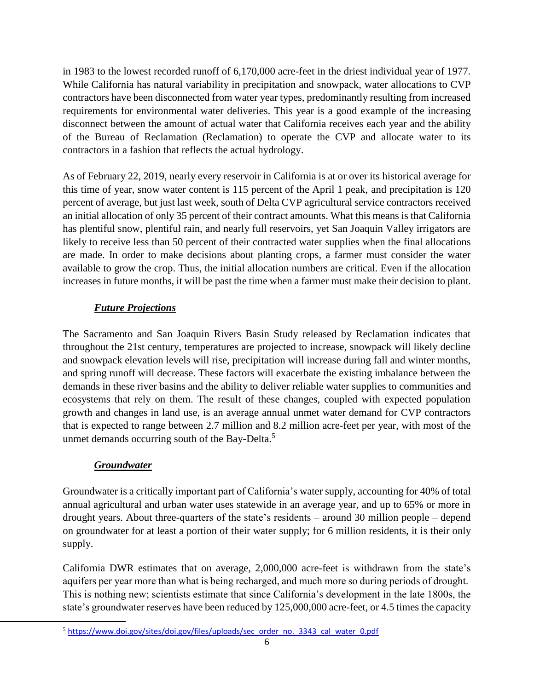in 1983 to the lowest recorded runoff of 6,170,000 acre-feet in the driest individual year of 1977. While California has natural variability in precipitation and snowpack, water allocations to CVP contractors have been disconnected from water year types, predominantly resulting from increased requirements for environmental water deliveries. This year is a good example of the increasing disconnect between the amount of actual water that California receives each year and the ability of the Bureau of Reclamation (Reclamation) to operate the CVP and allocate water to its contractors in a fashion that reflects the actual hydrology.

As of February 22, 2019, nearly every reservoir in California is at or over its historical average for this time of year, snow water content is 115 percent of the April 1 peak, and precipitation is 120 percent of average, but just last week, south of Delta CVP agricultural service contractors received an initial allocation of only 35 percent of their contract amounts. What this means is that California has plentiful snow, plentiful rain, and nearly full reservoirs, yet San Joaquin Valley irrigators are likely to receive less than 50 percent of their contracted water supplies when the final allocations are made. In order to make decisions about planting crops, a farmer must consider the water available to grow the crop. Thus, the initial allocation numbers are critical. Even if the allocation increases in future months, it will be past the time when a farmer must make their decision to plant.

# *Future Projections*

The Sacramento and San Joaquin Rivers Basin Study released by Reclamation indicates that throughout the 21st century, temperatures are projected to increase, snowpack will likely decline and snowpack elevation levels will rise, precipitation will increase during fall and winter months, and spring runoff will decrease. These factors will exacerbate the existing imbalance between the demands in these river basins and the ability to deliver reliable water supplies to communities and ecosystems that rely on them. The result of these changes, coupled with expected population growth and changes in land use, is an average annual unmet water demand for CVP contractors that is expected to range between 2.7 million and 8.2 million acre-feet per year, with most of the unmet demands occurring south of the Bay-Delta.<sup>5</sup>

### *Groundwater*

l

Groundwater is a critically important part of California's water supply, accounting for 40% of total annual agricultural and urban water uses statewide in an average year, and up to 65% or more in drought years. About three-quarters of the state's residents – around 30 million people – depend on groundwater for at least a portion of their water supply; for 6 million residents, it is their only supply.

California DWR estimates that on average, 2,000,000 acre-feet is withdrawn from the state's aquifers per year more than what is being recharged, and much more so during periods of drought.  This is nothing new; scientists estimate that since California's development in the late 1800s, the state's groundwater reserves have been reduced by 125,000,000 acre-feet, or 4.5 times the capacity

<sup>5</sup> [https://www.doi.gov/sites/doi.gov/files/uploads/sec\\_order\\_no.\\_3343\\_cal\\_water\\_0.pdf](https://www.doi.gov/sites/doi.gov/files/uploads/sec_order_no._3343_cal_water_0.pdf)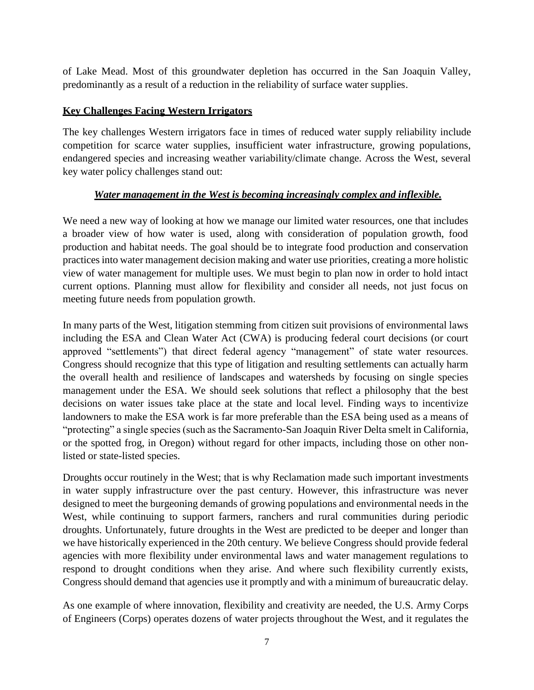of Lake Mead. Most of this groundwater depletion has occurred in the San Joaquin Valley, predominantly as a result of a reduction in the reliability of surface water supplies.

#### **Key Challenges Facing Western Irrigators**

The key challenges Western irrigators face in times of reduced water supply reliability include competition for scarce water supplies, insufficient water infrastructure, growing populations, endangered species and increasing weather variability/climate change. Across the West, several key water policy challenges stand out:

#### *Water management in the West is becoming increasingly complex and inflexible.*

We need a new way of looking at how we manage our limited water resources, one that includes a broader view of how water is used, along with consideration of population growth, food production and habitat needs. The goal should be to integrate food production and conservation practices into water management decision making and water use priorities, creating a more holistic view of water management for multiple uses. We must begin to plan now in order to hold intact current options. Planning must allow for flexibility and consider all needs, not just focus on meeting future needs from population growth.

In many parts of the West, litigation stemming from citizen suit provisions of environmental laws including the ESA and Clean Water Act (CWA) is producing federal court decisions (or court approved "settlements") that direct federal agency "management" of state water resources. Congress should recognize that this type of litigation and resulting settlements can actually harm the overall health and resilience of landscapes and watersheds by focusing on single species management under the ESA. We should seek solutions that reflect a philosophy that the best decisions on water issues take place at the state and local level. Finding ways to incentivize landowners to make the ESA work is far more preferable than the ESA being used as a means of "protecting" a single species (such as the Sacramento-San Joaquin River Delta smelt in California, or the spotted frog, in Oregon) without regard for other impacts, including those on other nonlisted or state-listed species.

Droughts occur routinely in the West; that is why Reclamation made such important investments in water supply infrastructure over the past century. However, this infrastructure was never designed to meet the burgeoning demands of growing populations and environmental needs in the West, while continuing to support farmers, ranchers and rural communities during periodic droughts. Unfortunately, future droughts in the West are predicted to be deeper and longer than we have historically experienced in the 20th century. We believe Congress should provide federal agencies with more flexibility under environmental laws and water management regulations to respond to drought conditions when they arise. And where such flexibility currently exists, Congress should demand that agencies use it promptly and with a minimum of bureaucratic delay.

As one example of where innovation, flexibility and creativity are needed, the U.S. Army Corps of Engineers (Corps) operates dozens of water projects throughout the West, and it regulates the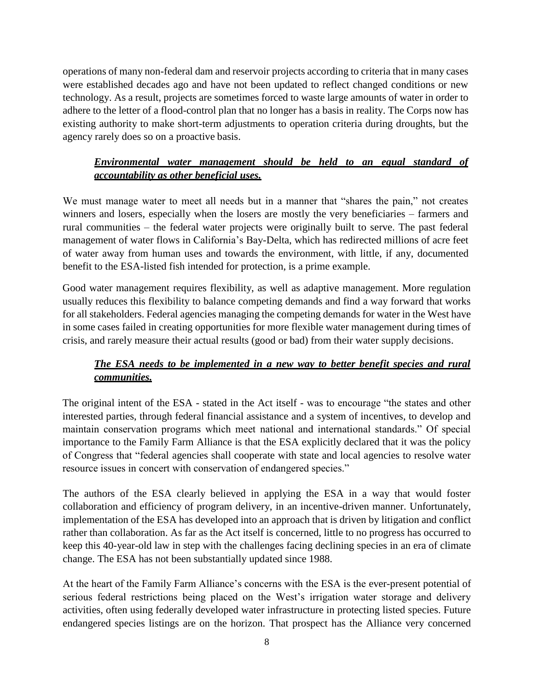operations of many non-federal dam and reservoir projects according to criteria that in many cases were established decades ago and have not been updated to reflect changed conditions or new technology. As a result, projects are sometimes forced to waste large amounts of water in order to adhere to the letter of a flood-control plan that no longer has a basis in reality. The Corps now has existing authority to make short-term adjustments to operation criteria during droughts, but the agency rarely does so on a proactive basis.

## *Environmental water management should be held to an equal standard of accountability as other beneficial uses.*

We must manage water to meet all needs but in a manner that "shares the pain," not creates winners and losers, especially when the losers are mostly the very beneficiaries – farmers and rural communities – the federal water projects were originally built to serve. The past federal management of water flows in California's Bay-Delta, which has redirected millions of acre feet of water away from human uses and towards the environment, with little, if any, documented benefit to the ESA-listed fish intended for protection, is a prime example.

Good water management requires flexibility, as well as adaptive management. More regulation usually reduces this flexibility to balance competing demands and find a way forward that works for all stakeholders. Federal agencies managing the competing demands for water in the West have in some cases failed in creating opportunities for more flexible water management during times of crisis, and rarely measure their actual results (good or bad) from their water supply decisions.

# *The ESA needs to be implemented in a new way to better benefit species and rural communities.*

The original intent of the ESA - stated in the Act itself - was to encourage "the states and other interested parties, through federal financial assistance and a system of incentives, to develop and maintain conservation programs which meet national and international standards." Of special importance to the Family Farm Alliance is that the ESA explicitly declared that it was the policy of Congress that "federal agencies shall cooperate with state and local agencies to resolve water resource issues in concert with conservation of endangered species."

The authors of the ESA clearly believed in applying the ESA in a way that would foster collaboration and efficiency of program delivery, in an incentive-driven manner. Unfortunately, implementation of the ESA has developed into an approach that is driven by litigation and conflict rather than collaboration. As far as the Act itself is concerned, little to no progress has occurred to keep this 40-year-old law in step with the challenges facing declining species in an era of climate change. The ESA has not been substantially updated since 1988.

At the heart of the Family Farm Alliance's concerns with the ESA is the ever-present potential of serious federal restrictions being placed on the West's irrigation water storage and delivery activities, often using federally developed water infrastructure in protecting listed species. Future endangered species listings are on the horizon. That prospect has the Alliance very concerned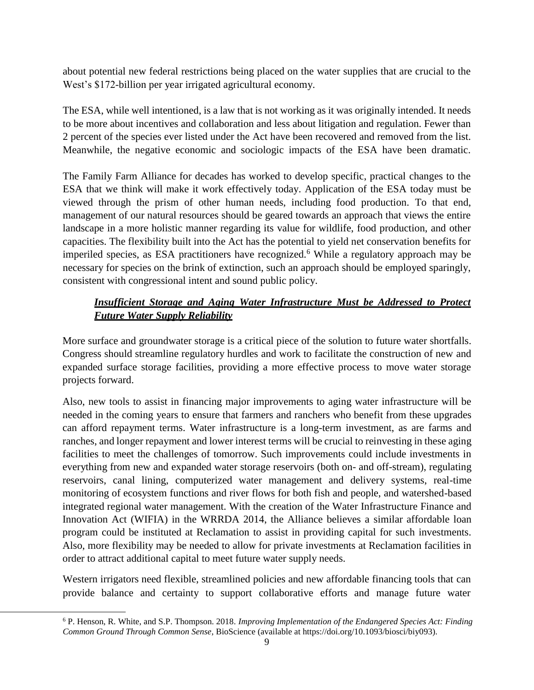about potential new federal restrictions being placed on the water supplies that are crucial to the West's \$172-billion per year irrigated agricultural economy.

The ESA, while well intentioned, is a law that is not working as it was originally intended. It needs to be more about incentives and collaboration and less about litigation and regulation. Fewer than 2 percent of the species ever listed under the Act have been recovered and removed from the list. Meanwhile, the negative economic and sociologic impacts of the ESA have been dramatic.

The Family Farm Alliance for decades has worked to develop specific, practical changes to the ESA that we think will make it work effectively today. Application of the ESA today must be viewed through the prism of other human needs, including food production. To that end, management of our natural resources should be geared towards an approach that views the entire landscape in a more holistic manner regarding its value for wildlife, food production, and other capacities. The flexibility built into the Act has the potential to yield net conservation benefits for imperiled species, as ESA practitioners have recognized.<sup>6</sup> While a regulatory approach may be necessary for species on the brink of extinction, such an approach should be employed sparingly, consistent with congressional intent and sound public policy.

## *Insufficient Storage and Aging Water Infrastructure Must be Addressed to Protect Future Water Supply Reliability*

More surface and groundwater storage is a critical piece of the solution to future water shortfalls. Congress should streamline regulatory hurdles and work to facilitate the construction of new and expanded surface storage facilities, providing a more effective process to move water storage projects forward.

Also, new tools to assist in financing major improvements to aging water infrastructure will be needed in the coming years to ensure that farmers and ranchers who benefit from these upgrades can afford repayment terms. Water infrastructure is a long-term investment, as are farms and ranches, and longer repayment and lower interest terms will be crucial to reinvesting in these aging facilities to meet the challenges of tomorrow. Such improvements could include investments in everything from new and expanded water storage reservoirs (both on- and off-stream), regulating reservoirs, canal lining, computerized water management and delivery systems, real-time monitoring of ecosystem functions and river flows for both fish and people, and watershed-based integrated regional water management. With the creation of the Water Infrastructure Finance and Innovation Act (WIFIA) in the WRRDA 2014, the Alliance believes a similar affordable loan program could be instituted at Reclamation to assist in providing capital for such investments. Also, more flexibility may be needed to allow for private investments at Reclamation facilities in order to attract additional capital to meet future water supply needs.

Western irrigators need flexible, streamlined policies and new affordable financing tools that can provide balance and certainty to support collaborative efforts and manage future water

 $\overline{a}$ 

<sup>6</sup> P. Henson, R. White, and S.P. Thompson. 2018. *Improving Implementation of the Endangered Species Act: Finding Common Ground Through Common Sense*, BioScience (available at https://doi.org/10.1093/biosci/biy093).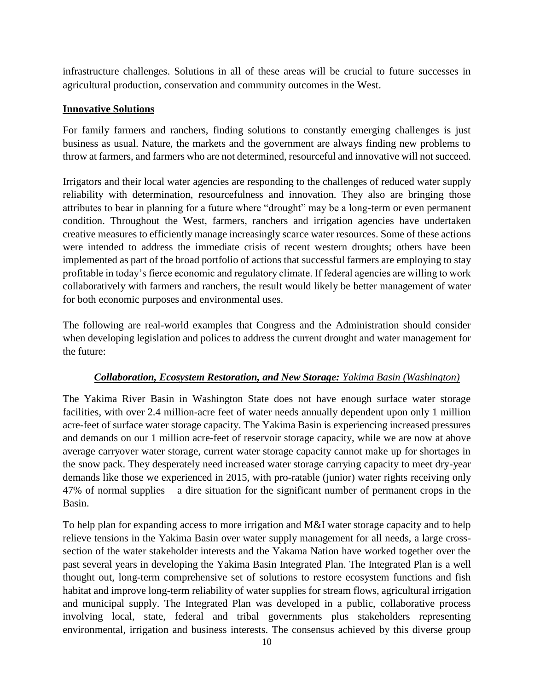infrastructure challenges. Solutions in all of these areas will be crucial to future successes in agricultural production, conservation and community outcomes in the West.

#### **Innovative Solutions**

For family farmers and ranchers, finding solutions to constantly emerging challenges is just business as usual. Nature, the markets and the government are always finding new problems to throw at farmers, and farmers who are not determined, resourceful and innovative will not succeed.

Irrigators and their local water agencies are responding to the challenges of reduced water supply reliability with determination, resourcefulness and innovation. They also are bringing those attributes to bear in planning for a future where "drought" may be a long-term or even permanent condition. Throughout the West, farmers, ranchers and irrigation agencies have undertaken creative measures to efficiently manage increasingly scarce water resources. Some of these actions were intended to address the immediate crisis of recent western droughts; others have been implemented as part of the broad portfolio of actions that successful farmers are employing to stay profitable in today's fierce economic and regulatory climate. If federal agencies are willing to work collaboratively with farmers and ranchers, the result would likely be better management of water for both economic purposes and environmental uses.

The following are real-world examples that Congress and the Administration should consider when developing legislation and polices to address the current drought and water management for the future:

### *Collaboration, Ecosystem Restoration, and New Storage: Yakima Basin (Washington)*

The Yakima River Basin in Washington State does not have enough surface water storage facilities, with over 2.4 million-acre feet of water needs annually dependent upon only 1 million acre-feet of surface water storage capacity. The Yakima Basin is experiencing increased pressures and demands on our 1 million acre-feet of reservoir storage capacity, while we are now at above average carryover water storage, current water storage capacity cannot make up for shortages in the snow pack. They desperately need increased water storage carrying capacity to meet dry-year demands like those we experienced in 2015, with pro-ratable (junior) water rights receiving only 47% of normal supplies – a dire situation for the significant number of permanent crops in the Basin.

To help plan for expanding access to more irrigation and M&I water storage capacity and to help relieve tensions in the Yakima Basin over water supply management for all needs, a large crosssection of the water stakeholder interests and the Yakama Nation have worked together over the past several years in developing the Yakima Basin Integrated Plan. The Integrated Plan is a well thought out, long-term comprehensive set of solutions to restore ecosystem functions and fish habitat and improve long-term reliability of water supplies for stream flows, agricultural irrigation and municipal supply. The Integrated Plan was developed in a public, collaborative process involving local, state, federal and tribal governments plus stakeholders representing environmental, irrigation and business interests. The consensus achieved by this diverse group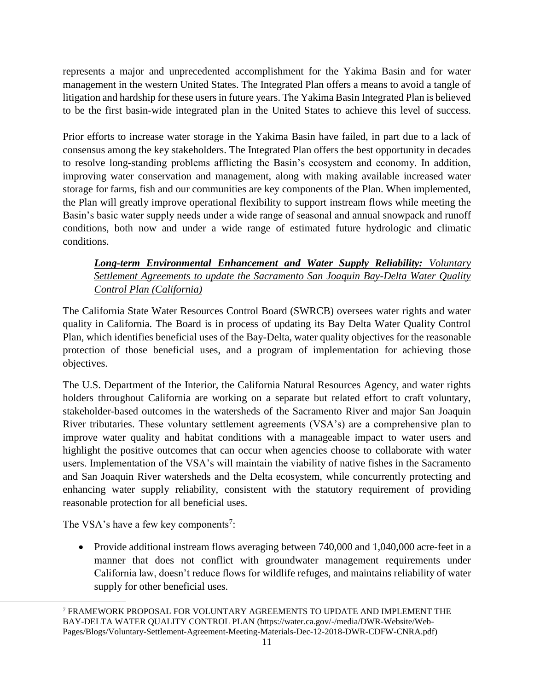represents a major and unprecedented accomplishment for the Yakima Basin and for water management in the western United States. The Integrated Plan offers a means to avoid a tangle of litigation and hardship for these users in future years. The Yakima Basin Integrated Plan is believed to be the first basin-wide integrated plan in the United States to achieve this level of success.

Prior efforts to increase water storage in the Yakima Basin have failed, in part due to a lack of consensus among the key stakeholders. The Integrated Plan offers the best opportunity in decades to resolve long-standing problems afflicting the Basin's ecosystem and economy. In addition, improving water conservation and management, along with making available increased water storage for farms, fish and our communities are key components of the Plan. When implemented, the Plan will greatly improve operational flexibility to support instream flows while meeting the Basin's basic water supply needs under a wide range of seasonal and annual snowpack and runoff conditions, both now and under a wide range of estimated future hydrologic and climatic conditions.

# *Long-term Environmental Enhancement and Water Supply Reliability: Voluntary Settlement Agreements to update the Sacramento San Joaquin Bay-Delta Water Quality Control Plan (California)*

The California State Water Resources Control Board (SWRCB) oversees water rights and water quality in California. The Board is in process of updating its Bay Delta Water Quality Control Plan, which identifies beneficial uses of the Bay-Delta, water quality objectives for the reasonable protection of those beneficial uses, and a program of implementation for achieving those objectives.

The U.S. Department of the Interior, the California Natural Resources Agency, and water rights holders throughout California are working on a separate but related effort to craft voluntary, stakeholder-based outcomes in the watersheds of the Sacramento River and major San Joaquin River tributaries. These voluntary settlement agreements (VSA's) are a comprehensive plan to improve water quality and habitat conditions with a manageable impact to water users and highlight the positive outcomes that can occur when agencies choose to collaborate with water users. Implementation of the VSA's will maintain the viability of native fishes in the Sacramento and San Joaquin River watersheds and the Delta ecosystem, while concurrently protecting and enhancing water supply reliability, consistent with the statutory requirement of providing reasonable protection for all beneficial uses.

The VSA's have a few key components<sup>7</sup>:

 $\overline{\phantom{a}}$ 

• Provide additional instream flows averaging between 740,000 and 1,040,000 acre-feet in a manner that does not conflict with groundwater management requirements under California law, doesn't reduce flows for wildlife refuges, and maintains reliability of water supply for other beneficial uses.

<sup>7</sup> FRAMEWORK PROPOSAL FOR VOLUNTARY AGREEMENTS TO UPDATE AND IMPLEMENT THE BAY-DELTA WATER QUALITY CONTROL PLAN (https://water.ca.gov/-/media/DWR-Website/Web-Pages/Blogs/Voluntary-Settlement-Agreement-Meeting-Materials-Dec-12-2018-DWR-CDFW-CNRA.pdf)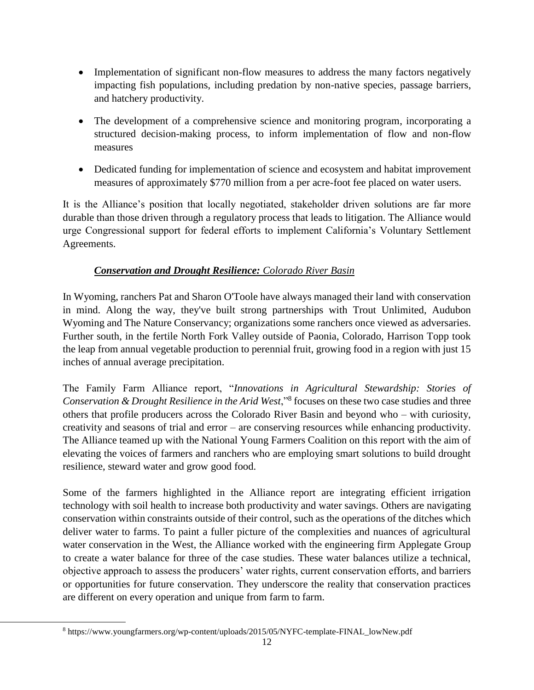- Implementation of significant non-flow measures to address the many factors negatively impacting fish populations, including predation by non-native species, passage barriers, and hatchery productivity.
- The development of a comprehensive science and monitoring program, incorporating a structured decision-making process, to inform implementation of flow and non-flow measures
- Dedicated funding for implementation of science and ecosystem and habitat improvement measures of approximately \$770 million from a per acre-foot fee placed on water users.

It is the Alliance's position that locally negotiated, stakeholder driven solutions are far more durable than those driven through a regulatory process that leads to litigation. The Alliance would urge Congressional support for federal efforts to implement California's Voluntary Settlement Agreements.

# *Conservation and Drought Resilience: Colorado River Basin*

In Wyoming, ranchers Pat and Sharon O'Toole have always managed their land with conservation in mind. Along the way, they've built strong partnerships with Trout Unlimited, Audubon Wyoming and The Nature Conservancy; organizations some ranchers once viewed as adversaries. Further south, in the fertile North Fork Valley outside of Paonia, Colorado, Harrison Topp took the leap from annual vegetable production to perennial fruit, growing food in a region with just 15 inches of annual average precipitation.

The Family Farm Alliance report, "*Innovations in Agricultural Stewardship: Stories of*  Conservation & Drought Resilience in the Arid West,"<sup>8</sup> focuses on these two case studies and three others that profile producers across the Colorado River Basin and beyond who – with curiosity, creativity and seasons of trial and error – are conserving resources while enhancing productivity. The Alliance teamed up with the National Young Farmers Coalition on this report with the aim of elevating the voices of farmers and ranchers who are employing smart solutions to build drought resilience, steward water and grow good food.

Some of the farmers highlighted in the Alliance report are integrating efficient irrigation technology with soil health to increase both productivity and water savings. Others are navigating conservation within constraints outside of their control, such as the operations of the ditches which deliver water to farms. To paint a fuller picture of the complexities and nuances of agricultural water conservation in the West, the Alliance worked with the engineering firm Applegate Group to create a water balance for three of the case studies. These water balances utilize a technical, objective approach to assess the producers' water rights, current conservation efforts, and barriers or opportunities for future conservation. They underscore the reality that conservation practices are different on every operation and unique from farm to farm.

l

<sup>8</sup> https://www.youngfarmers.org/wp-content/uploads/2015/05/NYFC-template-FINAL\_lowNew.pdf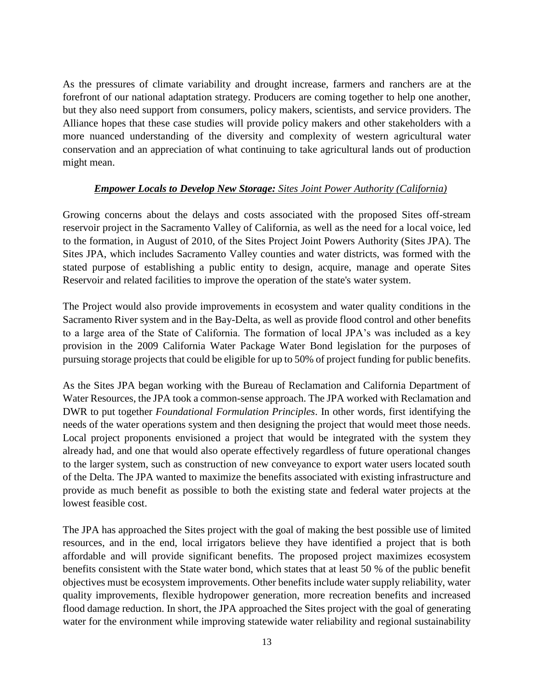As the pressures of climate variability and drought increase, farmers and ranchers are at the forefront of our national adaptation strategy. Producers are coming together to help one another, but they also need support from consumers, policy makers, scientists, and service providers. The Alliance hopes that these case studies will provide policy makers and other stakeholders with a more nuanced understanding of the diversity and complexity of western agricultural water conservation and an appreciation of what continuing to take agricultural lands out of production might mean.

### *Empower Locals to Develop New Storage: Sites Joint Power Authority (California)*

Growing concerns about the delays and costs associated with the proposed Sites off-stream reservoir project in the Sacramento Valley of California, as well as the need for a local voice, led to the formation, in August of 2010, of the Sites Project Joint Powers Authority (Sites JPA). The Sites JPA, which includes Sacramento Valley counties and water districts, was formed with the stated purpose of establishing a public entity to design, acquire, manage and operate Sites Reservoir and related facilities to improve the operation of the state's water system.

The Project would also provide improvements in ecosystem and water quality conditions in the Sacramento River system and in the Bay-Delta, as well as provide flood control and other benefits to a large area of the State of California. The formation of local JPA's was included as a key provision in the 2009 California Water Package Water Bond legislation for the purposes of pursuing storage projects that could be eligible for up to 50% of project funding for public benefits.

As the Sites JPA began working with the Bureau of Reclamation and California Department of Water Resources, the JPA took a common-sense approach. The JPA worked with Reclamation and DWR to put together *Foundational Formulation Principles*. In other words, first identifying the needs of the water operations system and then designing the project that would meet those needs. Local project proponents envisioned a project that would be integrated with the system they already had, and one that would also operate effectively regardless of future operational changes to the larger system, such as construction of new conveyance to export water users located south of the Delta. The JPA wanted to maximize the benefits associated with existing infrastructure and provide as much benefit as possible to both the existing state and federal water projects at the lowest feasible cost.

The JPA has approached the Sites project with the goal of making the best possible use of limited resources, and in the end, local irrigators believe they have identified a project that is both affordable and will provide significant benefits. The proposed project maximizes ecosystem benefits consistent with the State water bond, which states that at least 50 % of the public benefit objectives must be ecosystem improvements. Other benefits include water supply reliability, water quality improvements, flexible hydropower generation, more recreation benefits and increased flood damage reduction. In short, the JPA approached the Sites project with the goal of generating water for the environment while improving statewide water reliability and regional sustainability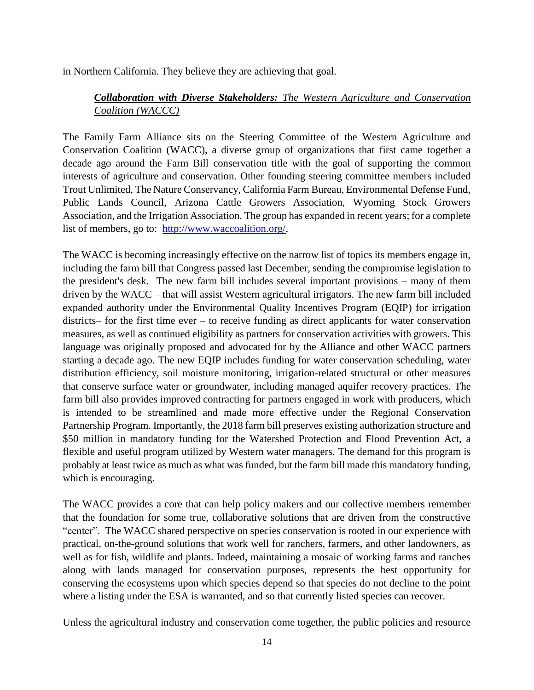in Northern California. They believe they are achieving that goal.

## *Collaboration with Diverse Stakeholders: The Western Agriculture and Conservation Coalition (WACCC)*

The Family Farm Alliance sits on the Steering Committee of the Western Agriculture and Conservation Coalition (WACC), a diverse group of organizations that first came together a decade ago around the Farm Bill conservation title with the goal of supporting the common interests of agriculture and conservation. Other founding steering committee members included Trout Unlimited, The Nature Conservancy, California Farm Bureau, Environmental Defense Fund, Public Lands Council, Arizona Cattle Growers Association, Wyoming Stock Growers Association, and the Irrigation Association. The group has expanded in recent years; for a complete list of members, go to: [http://www.waccoalition.org/.](http://www.waccoalition.org/)

The WACC is becoming increasingly effective on the narrow list of topics its members engage in, including the farm bill that Congress passed last December, sending the compromise legislation to the president's desk. The new farm bill includes several important provisions – many of them driven by the WACC – that will assist Western agricultural irrigators. The new farm bill included expanded authority under the Environmental Quality Incentives Program (EQIP) for irrigation districts– for the first time ever – to receive funding as direct applicants for water conservation measures, as well as continued eligibility as partners for conservation activities with growers. This language was originally proposed and advocated for by the Alliance and other WACC partners starting a decade ago. The new EQIP includes funding for water conservation scheduling, water distribution efficiency, soil moisture monitoring, irrigation-related structural or other measures that conserve surface water or groundwater, including managed aquifer recovery practices. The farm bill also provides improved contracting for partners engaged in work with producers, which is intended to be streamlined and made more effective under the Regional Conservation Partnership Program. Importantly, the 2018 farm bill preserves existing authorization structure and \$50 million in mandatory funding for the Watershed Protection and Flood Prevention Act, a flexible and useful program utilized by Western water managers. The demand for this program is probably at least twice as much as what was funded, but the farm bill made this mandatory funding, which is encouraging.

The WACC provides a core that can help policy makers and our collective members remember that the foundation for some true, collaborative solutions that are driven from the constructive "center". The WACC shared perspective on species conservation is rooted in our experience with practical, on-the-ground solutions that work well for ranchers, farmers, and other landowners, as well as for fish, wildlife and plants. Indeed, maintaining a mosaic of working farms and ranches along with lands managed for conservation purposes, represents the best opportunity for conserving the ecosystems upon which species depend so that species do not decline to the point where a listing under the ESA is warranted, and so that currently listed species can recover.

Unless the agricultural industry and conservation come together, the public policies and resource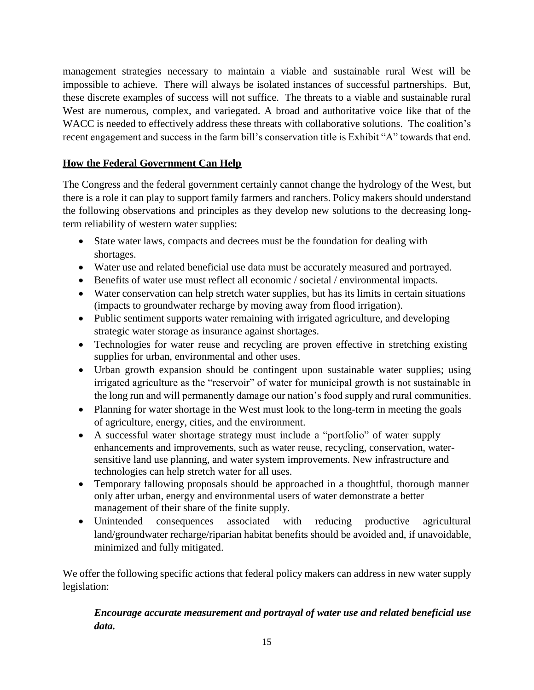management strategies necessary to maintain a viable and sustainable rural West will be impossible to achieve. There will always be isolated instances of successful partnerships. But, these discrete examples of success will not suffice. The threats to a viable and sustainable rural West are numerous, complex, and variegated. A broad and authoritative voice like that of the WACC is needed to effectively address these threats with collaborative solutions. The coalition's recent engagement and success in the farm bill's conservation title is Exhibit "A" towards that end.

## **How the Federal Government Can Help**

The Congress and the federal government certainly cannot change the hydrology of the West, but there is a role it can play to support family farmers and ranchers. Policy makers should understand the following observations and principles as they develop new solutions to the decreasing longterm reliability of western water supplies:

- State water laws, compacts and decrees must be the foundation for dealing with shortages.
- Water use and related beneficial use data must be accurately measured and portrayed.
- Benefits of water use must reflect all economic / societal / environmental impacts.
- Water conservation can help stretch water supplies, but has its limits in certain situations (impacts to groundwater recharge by moving away from flood irrigation).
- Public sentiment supports water remaining with irrigated agriculture, and developing strategic water storage as insurance against shortages.
- Technologies for water reuse and recycling are proven effective in stretching existing supplies for urban, environmental and other uses.
- Urban growth expansion should be contingent upon sustainable water supplies; using irrigated agriculture as the "reservoir" of water for municipal growth is not sustainable in the long run and will permanently damage our nation's food supply and rural communities.
- Planning for water shortage in the West must look to the long-term in meeting the goals of agriculture, energy, cities, and the environment.
- A successful water shortage strategy must include a "portfolio" of water supply enhancements and improvements, such as water reuse, recycling, conservation, watersensitive land use planning, and water system improvements. New infrastructure and technologies can help stretch water for all uses.
- Temporary fallowing proposals should be approached in a thoughtful, thorough manner only after urban, energy and environmental users of water demonstrate a better management of their share of the finite supply.
- Unintended consequences associated with reducing productive agricultural land/groundwater recharge/riparian habitat benefits should be avoided and, if unavoidable, minimized and fully mitigated.

We offer the following specific actions that federal policy makers can address in new water supply legislation:

# *Encourage accurate measurement and portrayal of water use and related beneficial use data.*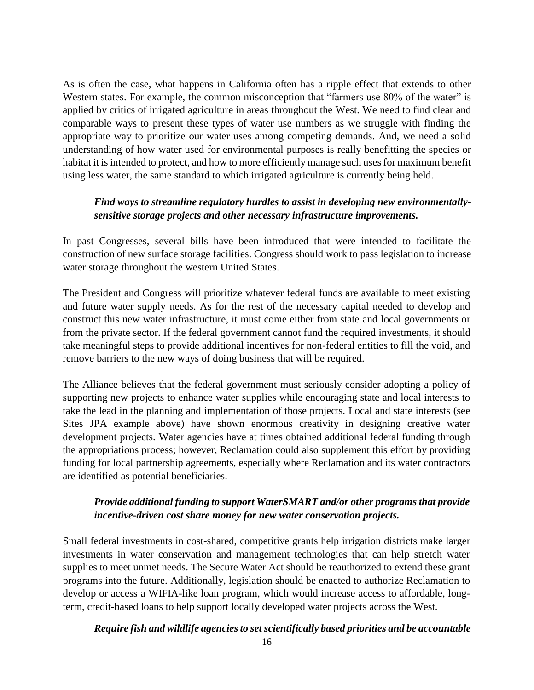As is often the case, what happens in California often has a ripple effect that extends to other Western states. For example, the common misconception that "farmers use 80% of the water" is applied by critics of irrigated agriculture in areas throughout the West. We need to find clear and comparable ways to present these types of water use numbers as we struggle with finding the appropriate way to prioritize our water uses among competing demands. And, we need a solid understanding of how water used for environmental purposes is really benefitting the species or habitat it is intended to protect, and how to more efficiently manage such uses for maximum benefit using less water, the same standard to which irrigated agriculture is currently being held.

# *Find ways to streamline regulatory hurdles to assist in developing new environmentallysensitive storage projects and other necessary infrastructure improvements.*

In past Congresses, several bills have been introduced that were intended to facilitate the construction of new surface storage facilities. Congress should work to pass legislation to increase water storage throughout the western United States.

The President and Congress will prioritize whatever federal funds are available to meet existing and future water supply needs. As for the rest of the necessary capital needed to develop and construct this new water infrastructure, it must come either from state and local governments or from the private sector. If the federal government cannot fund the required investments, it should take meaningful steps to provide additional incentives for non-federal entities to fill the void, and remove barriers to the new ways of doing business that will be required.

The Alliance believes that the federal government must seriously consider adopting a policy of supporting new projects to enhance water supplies while encouraging state and local interests to take the lead in the planning and implementation of those projects. Local and state interests (see Sites JPA example above) have shown enormous creativity in designing creative water development projects. Water agencies have at times obtained additional federal funding through the appropriations process; however, Reclamation could also supplement this effort by providing funding for local partnership agreements, especially where Reclamation and its water contractors are identified as potential beneficiaries.

## *Provide additional funding to support WaterSMART and/or other programs that provide incentive-driven cost share money for new water conservation projects.*

Small federal investments in cost-shared, competitive grants help irrigation districts make larger investments in water conservation and management technologies that can help stretch water supplies to meet unmet needs. The Secure Water Act should be reauthorized to extend these grant programs into the future. Additionally, legislation should be enacted to authorize Reclamation to develop or access a WIFIA-like loan program, which would increase access to affordable, longterm, credit-based loans to help support locally developed water projects across the West.

### *Require fish and wildlife agencies to set scientifically based priorities and be accountable*